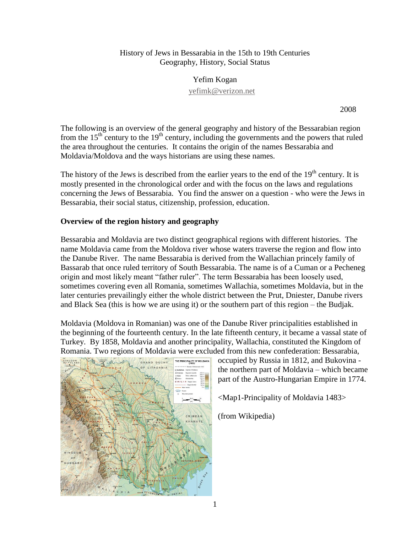### History of Jews in Bessarabia in the 15th to 19th Centuries Geography, History, Social Status

Yefim Kogan [yefimk@verizon.net](mailto:yefimk@verizon.net)

2008

The following is an overview of the general geography and history of the Bessarabian region from the  $15<sup>th</sup>$  century to the  $19<sup>th</sup>$  century, including the governments and the powers that ruled the area throughout the centuries. It contains the origin of the names Bessarabia and Moldavia/Moldova and the ways historians are using these names.

The history of the Jews is described from the earlier years to the end of the 19<sup>th</sup> century. It is mostly presented in the chronological order and with the focus on the laws and regulations concerning the Jews of Bessarabia. You find the answer on a question - who were the Jews in Bessarabia, their social status, citizenship, profession, education.

## **Overview of the region history and geography**

Bessarabia and Moldavia are two distinct geographical regions with different histories. The name Moldavia came from the Moldova river whose waters traverse the region and flow into the Danube River. The name Bessarabia is derived from the Wallachian princely family of Bassarab that once ruled territory of South Bessarabia. The name is of a Cuman or a Pecheneg origin and most likely meant "father ruler". The term Bessarabia has been loosely used, sometimes covering even all Romania, sometimes Wallachia, sometimes Moldavia, but in the later centuries prevailingly either the whole district between the Prut, Dniester, Danube rivers and Black Sea (this is how we are using it) or the southern part of this region – the Budjak.

Moldavia (Moldova in Romanian) was one of the Danube River principalities established in the beginning of the fourteenth century. In the late fifteenth century, it became a vassal state of Turkey. By 1858, Moldavia and another principality, Wallachia, constituted the Kingdom of Romania. Two regions of Moldavia were excluded from this new confederation: Bessarabia,



occupied by Russia in 1812, and Bukovina the northern part of Moldavia – which became part of the Austro-Hungarian Empire in 1774.

<Map1-Principality of Moldavia 1483>

(from Wikipedia)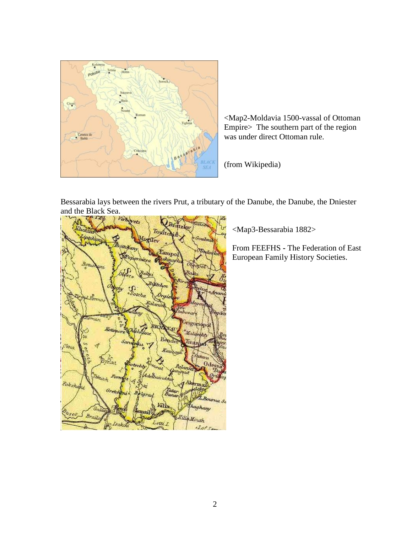

<Map2-Moldavia 1500-vassal of Ottoman Empire> The southern part of the region was under direct Ottoman rule.

(from Wikipedia)



<Map3-Bessarabia 1882>

From FEEFHS **-** The Federation of East European Family History Societies.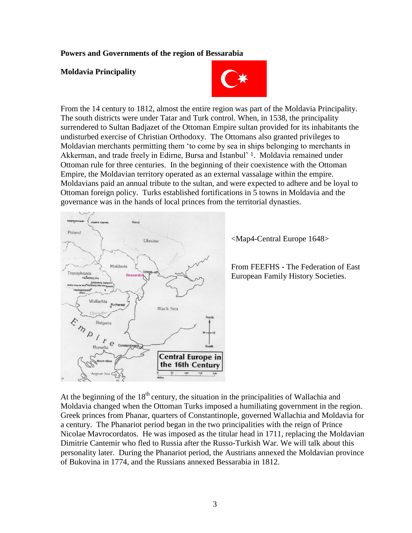#### **Powers and Governments of the region of Bessarabia**

#### **Moldavia Principality**



From the 14 century to 1812, almost the entire region was part of the Moldavia Principality. The south districts were under Tatar and Turk control. When, in 1538, the principality surrendered to Sultan Badjazet of the Ottoman Empire sultan provided for its inhabitants the undisturbed exercise of Christian Orthodoxy. The Ottomans also granted privileges to Moldavian merchants permitting them "to come by sea in ships belonging to merchants in Akkerman, and trade freely in Edirne, Bursa and Istanbul' <sup>1</sup>. Moldavia remained under Ottoman rule for three centuries. In the beginning of their coexistence with the Ottoman Empire, the Moldavian territory operated as an external vassalage within the empire. Moldavians paid an annual tribute to the sultan, and were expected to adhere and be loyal to Ottoman foreign policy. Turks established fortifications in 5 towns in Moldavia and the governance was in the hands of local princes from the territorial dynasties.



<Map4-Central Europe 1648>

From FEEFHS **-** The Federation of East European Family History Societies.

At the beginning of the  $18<sup>th</sup>$  century, the situation in the principalities of Wallachia and Moldavia changed when the Ottoman Turks imposed a humiliating government in the region. Greek princes from Phanar, quarters of Constantinople, governed Wallachia and Moldavia for a century. The Phanariot period began in the two principalities with the reign of Prince Nicolae Mavrocordatos. He was imposed as the titular head in 1711, replacing the Moldavian Dimitrie Cantemir who fled to Russia after the Russo-Turkish War. We will talk about this personality later. During the Phanariot period, the Austrians annexed the Moldavian province of Bukovina in 1774, and the Russians annexed Bessarabia in 1812.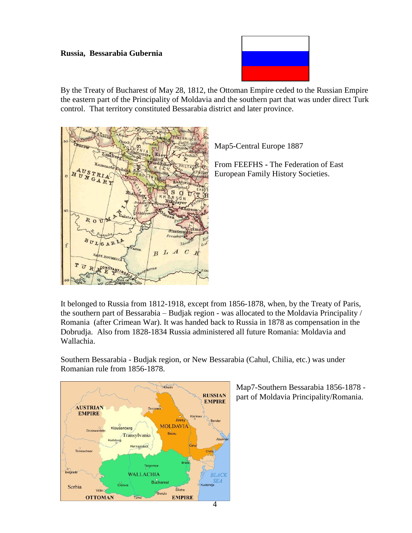#### **Russia, Bessarabia Gubernia**



By the Treaty of Bucharest of May 28, 1812, the Ottoman Empire ceded to the Russian Empire the eastern part of the Principality of Moldavia and the southern part that was under direct Turk control. That territory constituted Bessarabia district and later province.



Map5-Central Europe 1887

From FEEFHS **-** The Federation of East European Family History Societies.

It belonged to Russia from 1812-1918, except from 1856-1878, when, by the Treaty of Paris, the southern part of Bessarabia – Budjak region - was allocated to the Moldavia Principality / Romania (after Crimean War). It was handed back to Russia in 1878 as compensation in the Dobrudja. Also from 1828-1834 Russia administered all future Romania: Moldavia and Wallachia.

Southern Bessarabia - Budjak region, or New Bessarabia (Cahul, Chilia, etc.) was under Romanian rule from 1856-1878.



Map7-Southern Bessarabia 1856-1878 part of Moldavia Principality/Romania.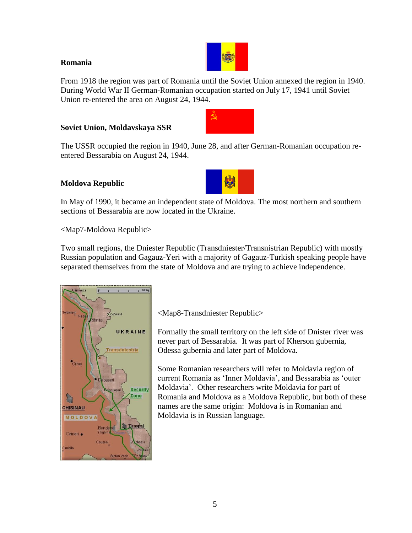### **Romania**



From 1918 the region was part of Romania until the Soviet Union annexed the region in 1940. During World War II German-Romanian occupation started on July 17, 1941 until Soviet Union re-entered the area on August 24, 1944.

 $\hat{\mathbf{\Omega}}$  .

# **Soviet Union, Moldavskaya SSR**

The USSR occupied the region in 1940, June 28, and after German-Romanian occupation reentered Bessarabia on August 24, 1944.

## **Moldova Republic**

In May of 1990, it became an independent state of Moldova. The most northern and southern sections of Bessarabia are now located in the Ukraine.

<Map7-Moldova Republic>

Two small regions, the Dniester Republic (Transdniester/Transnistrian Republic) with mostly Russian population and Gagauz-Yeri with a majority of Gagauz-Turkish speaking people have separated themselves from the state of Moldova and are trying to achieve independence.



<Map8-Transdniester Republic>

Formally the small territory on the left side of Dnister river was never part of Bessarabia. It was part of Kherson gubernia, Odessa gubernia and later part of Moldova.

Some Romanian researchers will refer to Moldavia region of current Romania as "Inner Moldavia", and Bessarabia as "outer Moldavia". Other researchers write Moldavia for part of Romania and Moldova as a Moldova Republic, but both of these names are the same origin: Moldova is in Romanian and Moldavia is in Russian language.

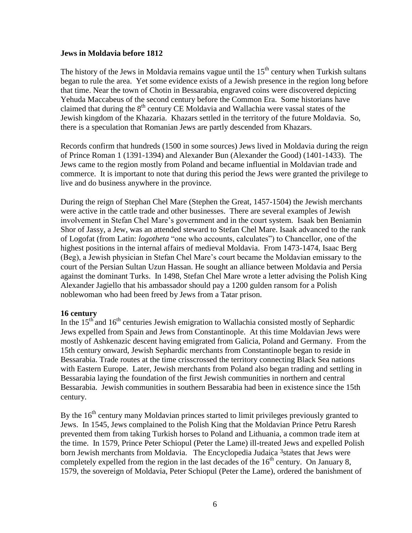#### **Jews in Moldavia before 1812**

The history of the Jews in Moldavia remains vague until the  $15<sup>th</sup>$  century when Turkish sultans began to rule the area. Yet some evidence exists of a Jewish presence in the region long before that time. Near the town of Chotin in Bessarabia, engraved coins were discovered depicting Yehuda Maccabeus of the second century before the Common Era. Some historians have claimed that during the  $8<sup>th</sup>$  century CE Moldavia and Wallachia were vassal states of the Jewish kingdom of the Khazaria. Khazars settled in the territory of the future Moldavia. So, there is a speculation that Romanian Jews are partly descended from Khazars.

Records confirm that hundreds (1500 in some sources) Jews lived in Moldavia during the reign of Prince Roman 1 (1391-1394) and Alexander Bun (Alexander the Good) (1401-1433). The Jews came to the region mostly from Poland and became influential in Moldavian trade and commerce. It is important to note that during this period the Jews were granted the privilege to live and do business anywhere in the province.

During the reign of Stephan Chel Mare (Stephen the Great, 1457-1504) the Jewish merchants were active in the cattle trade and other businesses. There are several examples of Jewish involvement in Stefan Chel Mare"s government and in the court system. Isaak ben Beniamin Shor of Jassy, a Jew, was an attended steward to Stefan Chel Mare. Isaak advanced to the rank of Logofat (from Latin: *logotheta* "one who accounts, calculates") to Chancellor, one of the highest positions in the internal affairs of medieval Moldavia. From 1473-1474, Isaac Berg (Beg), a Jewish physician in Stefan Chel Mare"s court became the Moldavian emissary to the court of the Persian Sultan Uzun Hassan. He sought an alliance between Moldavia and Persia against the dominant Turks. In 1498, Stefan Chel Mare wrote a letter advising the Polish King Alexander Jagiello that his ambassador should pay a 1200 gulden ransom for a Polish noblewoman who had been freed by Jews from a Tatar prison.

### **16 century**

In the  $15<sup>th</sup>$  and  $16<sup>th</sup>$  centuries Jewish emigration to Wallachia consisted mostly of Sephardic Jews expelled from Spain and Jews from Constantinople. At this time Moldavian Jews were mostly of Ashkenazic descent having emigrated from Galicia, Poland and Germany. From the 15th century onward, Jewish Sephardic merchants from Constantinople began to reside in Bessarabia. Trade routes at the time crisscrossed the territory connecting Black Sea nations with Eastern Europe. Later, Jewish merchants from Poland also began trading and settling in Bessarabia laying the foundation of the first Jewish communities in northern and central Bessarabia. Jewish communities in southern Bessarabia had been in existence since the 15th century.

By the  $16<sup>th</sup>$  century many Moldavian princes started to limit privileges previously granted to Jews. In 1545, Jews complained to the Polish King that the Moldavian Prince Petru Raresh prevented them from taking Turkish horses to Poland and Lithuania, a common trade item at the time. In 1579, Prince Peter Schiopul (Peter the Lame) ill-treated Jews and expelled Polish born Jewish merchants from Moldavia. The Encyclopedia Judaica 3 states that Jews were completely expelled from the region in the last decades of the  $16<sup>th</sup>$  century. On January 8, 1579, the sovereign of Moldavia, Peter Schiopul (Peter the Lame), ordered the banishment of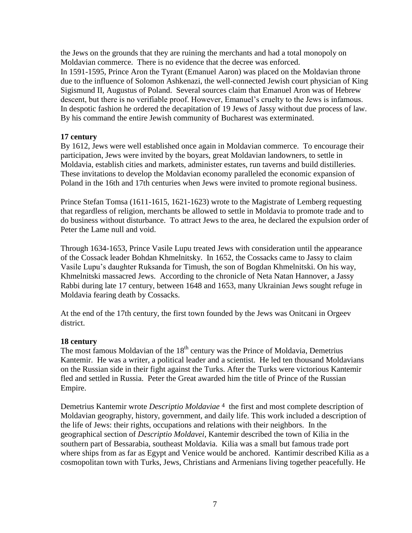the Jews on the grounds that they are ruining the merchants and had a total monopoly on Moldavian commerce. There is no evidence that the decree was enforced. In 1591-1595, Prince Aron the Tyrant (Emanuel Aaron) was placed on the Moldavian throne due to the influence of Solomon Ashkenazi, the well-connected Jewish court physician of King Sigismund II, Augustus of Poland. Several sources claim that Emanuel Aron was of Hebrew descent, but there is no verifiable proof. However, Emanuel's cruelty to the Jews is infamous. In despotic fashion he ordered the decapitation of 19 Jews of Jassy without due process of law. By his command the entire Jewish community of Bucharest was exterminated.

### **17 century**

By 1612, Jews were well established once again in Moldavian commerce. To encourage their participation, Jews were invited by the boyars, great Moldavian landowners, to settle in Moldavia, establish cities and markets, administer estates, run taverns and build distilleries. These invitations to develop the Moldavian economy paralleled the economic expansion of Poland in the 16th and 17th centuries when Jews were invited to promote regional business.

Prince Stefan Tomsa (1611-1615, 1621-1623) wrote to the Magistrate of Lemberg requesting that regardless of religion, merchants be allowed to settle in Moldavia to promote trade and to do business without disturbance. To attract Jews to the area, he declared the expulsion order of Peter the Lame null and void.

Through 1634-1653, Prince Vasile Lupu treated Jews with consideration until the appearance of the Cossack leader Bohdan Khmelnitsky. In 1652, the Cossacks came to Jassy to claim Vasile Lupu"s daughter Ruksanda for Timush, the son of Bogdan Khmelnitski. On his way, Khmelnitski massacred Jews. According to the chronicle of Neta Natan Hannover, a Jassy Rabbi during late 17 century, between 1648 and 1653, many Ukrainian Jews sought refuge in Moldavia fearing death by Cossacks.

At the end of the 17th century, the first town founded by the Jews was Onitcani in Orgeev district.

### **18 century**

The most famous Moldavian of the  $18<sup>th</sup>$  century was the Prince of Moldavia, Demetrius Kantemir. He was a writer, a political leader and a scientist. He led ten thousand Moldavians on the Russian side in their fight against the Turks. After the Turks were victorious Kantemir fled and settled in Russia. Peter the Great awarded him the title of Prince of the Russian Empire.

Demetrius Kantemir wrote *Descriptio Moldaviae* 4 the first and most complete description of Moldavian geography, history, government, and daily life. This work included a description of the life of Jews: their rights, occupations and relations with their neighbors. In the geographical section of *Descriptio Moldavei*, Kantemir described the town of Kilia in the southern part of Bessarabia, southeast Moldavia. Kilia was a small but famous trade port where ships from as far as Egypt and Venice would be anchored. Kantimir described Kilia as a cosmopolitan town with Turks, Jews, Christians and Armenians living together peacefully. He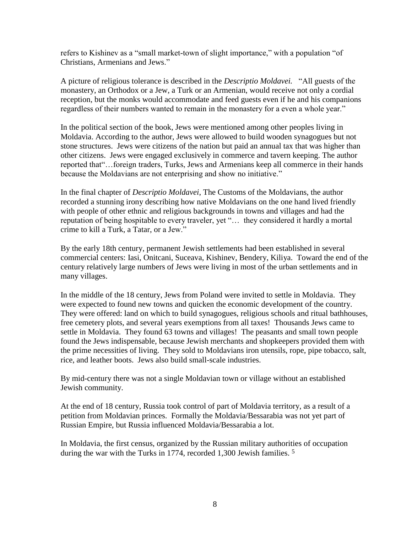refers to Kishinev as a "small market-town of slight importance," with a population "of Christians, Armenians and Jews."

A picture of religious tolerance is described in the *Descriptio Moldavei.* "All guests of the monastery, an Orthodox or a Jew, a Turk or an Armenian, would receive not only a cordial reception, but the monks would accommodate and feed guests even if he and his companions regardless of their numbers wanted to remain in the monastery for a even a whole year."

In the political section of the book, Jews were mentioned among other peoples living in Moldavia. According to the author, Jews were allowed to build wooden synagogues but not stone structures. Jews were citizens of the nation but paid an annual tax that was higher than other citizens. Jews were engaged exclusively in commerce and tavern keeping. The author reported that"…foreign traders, Turks, Jews and Armenians keep all commerce in their hands because the Moldavians are not enterprising and show no initiative."

In the final chapter of *Descriptio Moldavei*, The Customs of the Moldavians, the author recorded a stunning irony describing how native Moldavians on the one hand lived friendly with people of other ethnic and religious backgrounds in towns and villages and had the reputation of being hospitable to every traveler, yet "… they considered it hardly a mortal crime to kill a Turk, a Tatar, or a Jew."

By the early 18th century, permanent Jewish settlements had been established in several commercial centers: Iasi, Onitcani, Suceava, Kishinev, Bendery, Kiliya. Toward the end of the century relatively large numbers of Jews were living in most of the urban settlements and in many villages.

In the middle of the 18 century, Jews from Poland were invited to settle in Moldavia. They were expected to found new towns and quicken the economic development of the country. They were offered: land on which to build synagogues, religious schools and ritual bathhouses, free cemetery plots, and several years exemptions from all taxes! Thousands Jews came to settle in Moldavia. They found 63 towns and villages! The peasants and small town people found the Jews indispensable, because Jewish merchants and shopkeepers provided them with the prime necessities of living. They sold to Moldavians iron utensils, rope, pipe tobacco, salt, rice, and leather boots. Jews also build small-scale industries.

By mid-century there was not a single Moldavian town or village without an established Jewish community.

At the end of 18 century, Russia took control of part of Moldavia territory, as a result of a petition from Moldavian princes. Formally the Moldavia/Bessarabia was not yet part of Russian Empire, but Russia influenced Moldavia/Bessarabia a lot.

In Moldavia, the first census, organized by the Russian military authorities of occupation during the war with the Turks in 1774, recorded 1,300 Jewish families. 5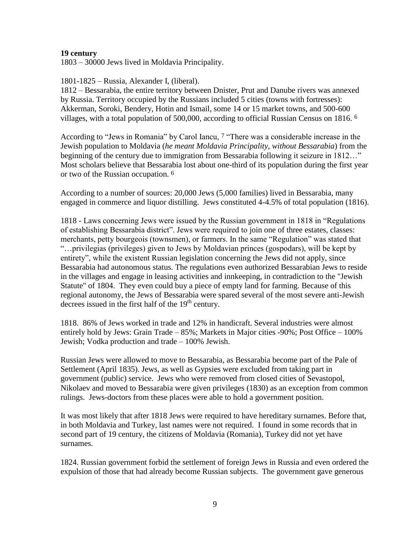### **19 century**

1803 – 30000 Jews lived in Moldavia Principality.

1801-1825 – Russia, Alexander I, (liberal).

1812 – Bessarabia, the entire territory between Dnister, Prut and Danube rivers was annexed by Russia. Territory occupied by the Russians included 5 cities (towns with fortresses): Akkerman, Soroki, Bendery, Hotin and Ismail, some 14 or 15 market towns, and 500-600 villages, with a total population of 500,000, according to official Russian Census on 1816. 6

According to "Jews in Romania" by Carol Iancu, 7 "There was a considerable increase in the Jewish population to Moldavia (*he meant Moldavia Principality, without Bessarabia*) from the beginning of the century due to immigration from Bessarabia following it seizure in 1812..." Most scholars believe that Bessarabia lost about one-third of its population during the first year or two of the Russian occupation. 6

According to a number of sources: 20,000 Jews (5,000 families) lived in Bessarabia, many engaged in commerce and liquor distilling. Jews constituted 4-4.5% of total population (1816).

1818 - Laws concerning Jews were issued by the Russian government in 1818 in "Regulations of establishing Bessarabia district". Jews were required to join one of three estates, classes: merchants, petty bourgeois (townsmen), or farmers. In the same "Regulation" was stated that "…privilegias (privileges) given to Jews by Moldavian princes (gospodars), will be kept by entirety", while the existent Russian legislation concerning the Jews did not apply, since Bessarabia had autonomous status. The regulations even authorized Bessarabian Jews to reside in the villages and engage in leasing activities and innkeeping, in contradiction to the "Jewish Statute" of 1804. They even could buy a piece of empty land for farming. Because of this regional autonomy, the Jews of Bessarabia were spared several of the most severe anti-Jewish decrees issued in the first half of the  $19<sup>th</sup>$  century.

1818. 86% of Jews worked in trade and 12% in handicraft. Several industries were almost entirely hold by Jews: Grain Trade – 85%; Markets in Major cities -90%; Post Office – 100% Jewish; Vodka production and trade – 100% Jewish.

Russian Jews were allowed to move to Bessarabia, as Bessarabia become part of the Pale of Settlement (April 1835). Jews, as well as Gypsies were excluded from taking part in government (public) service. Jews who were removed from closed cities of Sevastopol, Nikolaev and moved to Bessarabia were given privileges (1830) as an exception from common rulings. Jews-doctors from these places were able to hold a government position.

It was most likely that after 1818 Jews were required to have hereditary surnames. Before that, in both Moldavia and Turkey, last names were not required. I found in some records that in second part of 19 century, the citizens of Moldavia (Romania), Turkey did not yet have surnames.

1824. Russian government forbid the settlement of foreign Jews in Russia and even ordered the expulsion of those that had already become Russian subjects. The government gave generous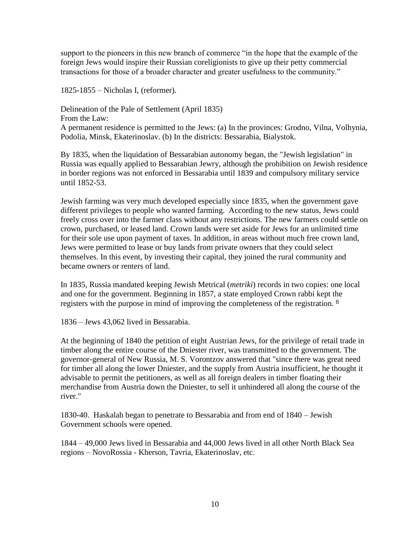support to the pioneers in this new branch of commerce "in the hope that the example of the foreign Jews would inspire their Russian coreligionists to give up their petty commercial transactions for those of a broader character and greater usefulness to the community."

1825-1855 – Nicholas I, (reformer).

Delineation of the Pale of Settlement (April 1835) From the Law: A permanent residence is permitted to the Jews: (a) In the provinces: Grodno, Vilna, Volhynia, Podolia, Minsk, Ekaterinoslav. (b) In the districts: Bessarabia, Bialystok.

By 1835, when the liquidation of Bessarabian autonomy began, the "Jewish legislation" in Russia was equally applied to Bessarabian Jewry, although the prohibition on Jewish residence in border regions was not enforced in Bessarabia until 1839 and compulsory military service until 1852-53.

Jewish farming was very much developed especially since 1835, when the government gave different privileges to people who wanted farming. According to the new status, Jews could freely cross over into the farmer class without any restrictions. The new farmers could settle on crown, purchased, or leased land. Crown lands were set aside for Jews for an unlimited time for their sole use upon payment of taxes. In addition, in areas without much free crown land, Jews were permitted to lease or buy lands from private owners that they could select themselves. In this event, by investing their capital, they joined the rural community and became owners or renters of land.

In 1835, Russia mandated keeping Jewish Metrical (*metriki*) records in two copies: one local and one for the government. Beginning in 1857, a state employed Crown rabbi kept the registers with the purpose in mind of improving the completeness of the registration. <sup>8</sup>

1836 – Jews 43,062 lived in Bessarabia.

At the beginning of 1840 the petition of eight Austrian Jews, for the privilege of retail trade in timber along the entire course of the Dniester river, was transmitted to the government. The governor-general of New Russia, M. S. Vorontzov answered that "since there was great need for timber all along the lower Dniester, and the supply from Austria insufficient, he thought it advisable to permit the petitioners, as well as all foreign dealers in timber floating their merchandise from Austria down the Dniester, to sell it unhindered all along the course of the river."

1830-40. Haskalah began to penetrate to Bessarabia and from end of 1840 – Jewish Government schools were opened.

1844 – 49,000 Jews lived in Bessarabia and 44,000 Jews lived in all other North Black Sea regions – NovoRossia - Kherson, Tavria, Ekaterinoslav, etc.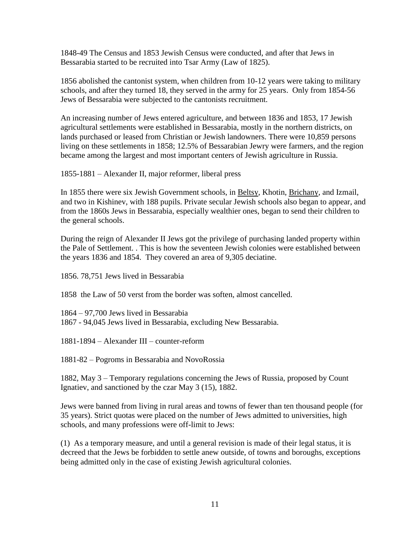1848-49 The Census and 1853 Jewish Census were conducted, and after that Jews in Bessarabia started to be recruited into Tsar Army (Law of 1825).

1856 abolished the cantonist system, when children from 10-12 years were taking to military schools, and after they turned 18, they served in the army for 25 years. Only from 1854-56 Jews of Bessarabia were subjected to the cantonists recruitment.

An increasing number of Jews entered agriculture, and between 1836 and 1853, 17 Jewish agricultural settlements were established in Bessarabia, mostly in the northern districts, on lands purchased or leased from Christian or Jewish landowners. There were 10,859 persons living on these settlements in 1858; 12.5% of Bessarabian Jewry were farmers, and the region became among the largest and most important centers of Jewish agriculture in Russia.

1855-1881 – Alexander II, major reformer, liberal press

In 1855 there were six Jewish Government schools, in [Beltsy,](http://ezproxy.hebrewcollege.edu:2360/gvrl/retrieve.do?contentSet=EBKS&qrySerId=Locale%28en%2C%2C%29%3AFQE%3D%28KE%2CNone%2C10%29Bessarabia%24&inPS=true&searchType=BasicSearchForm&tabID=T001&prodId=GVRL&searchId=R1&userGroupName=mlin_m_hebrew&relatedDocId=2587502377) Khotin, [Brichany,](http://ezproxy.hebrewcollege.edu:2360/gvrl/retrieve.do?contentSet=EBKS&qrySerId=Locale%28en%2C%2C%29%3AFQE%3D%28KE%2CNone%2C10%29Bessarabia%24&inPS=true&searchType=BasicSearchForm&tabID=T001&prodId=GVRL&searchId=R1&userGroupName=mlin_m_hebrew&relatedDocId=2587503535) and Izmail, and two in Kishinev, with 188 pupils. Private secular Jewish schools also began to appear, and from the 1860s Jews in Bessarabia, especially wealthier ones, began to send their children to the general schools.

During the reign of Alexander II Jews got the privilege of purchasing landed property within the Pale of Settlement. . This is how the seventeen Jewish colonies were established between the years 1836 and 1854. They covered an area of 9,305 deciatine.

1856. 78,751 Jews lived in Bessarabia

1858 the Law of 50 verst from the border was soften, almost cancelled.

1864 – 97,700 Jews lived in Bessarabia 1867 - 94,045 Jews lived in Bessarabia, excluding New Bessarabia.

1881-1894 – Alexander III – counter-reform

1881-82 – Pogroms in Bessarabia and NovoRossia

1882, May 3 – Temporary regulations concerning the Jews of Russia, proposed by Count Ignatiev, and sanctioned by the czar May 3 (15), 1882.

Jews were banned from living in rural areas and towns of fewer than ten thousand people (for 35 years). Strict quotas were placed on the number of Jews admitted to universities, high schools, and many professions were off-limit to Jews:

(1) As a temporary measure, and until a general revision is made of their legal status, it is decreed that the Jews be forbidden to settle anew outside, of towns and boroughs, exceptions being admitted only in the case of existing Jewish agricultural colonies.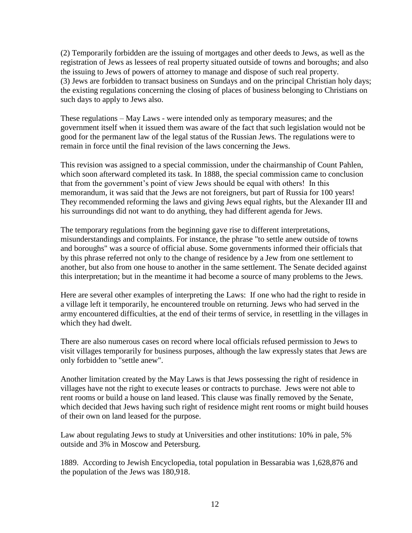(2) Temporarily forbidden are the issuing of mortgages and other deeds to Jews, as well as the registration of Jews as lessees of real property situated outside of towns and boroughs; and also the issuing to Jews of powers of attorney to manage and dispose of such real property. (3) Jews are forbidden to transact business on Sundays and on the principal Christian holy days; the existing regulations concerning the closing of places of business belonging to Christians on such days to apply to Jews also.

These regulations – May Laws - were intended only as temporary measures; and the government itself when it issued them was aware of the fact that such legislation would not be good for the permanent law of the legal status of the Russian Jews. The regulations were to remain in force until the final revision of the laws concerning the Jews.

This revision was assigned to a special commission, under the chairmanship of Count Pahlen, which soon afterward completed its task. In 1888, the special commission came to conclusion that from the government"s point of view Jews should be equal with others! In this memorandum, it was said that the Jews are not foreigners, but part of Russia for 100 years! They recommended reforming the laws and giving Jews equal rights, but the Alexander III and his surroundings did not want to do anything, they had different agenda for Jews.

The temporary regulations from the beginning gave rise to different interpretations, misunderstandings and complaints. For instance, the phrase "to settle anew outside of towns and boroughs" was a source of official abuse. Some governments informed their officials that by this phrase referred not only to the change of residence by a Jew from one settlement to another, but also from one house to another in the same settlement. The Senate decided against this interpretation; but in the meantime it had become a source of many problems to the Jews.

Here are several other examples of interpreting the Laws: If one who had the right to reside in a village left it temporarily, he encountered trouble on returning. Jews who had served in the army encountered difficulties, at the end of their terms of service, in resettling in the villages in which they had dwelt.

There are also numerous cases on record where local officials refused permission to Jews to visit villages temporarily for business purposes, although the law expressly states that Jews are only forbidden to "settle anew".

Another limitation created by the May Laws is that Jews possessing the right of residence in villages have not the right to execute leases or contracts to purchase. Jews were not able to rent rooms or build a house on land leased. This clause was finally removed by the Senate, which decided that Jews having such right of residence might rent rooms or might build houses of their own on land leased for the purpose.

Law about regulating Jews to study at Universities and other institutions: 10% in pale, 5% outside and 3% in Moscow and Petersburg.

1889. According to Jewish Encyclopedia, total population in Bessarabia was 1,628,876 and the population of the Jews was 180,918.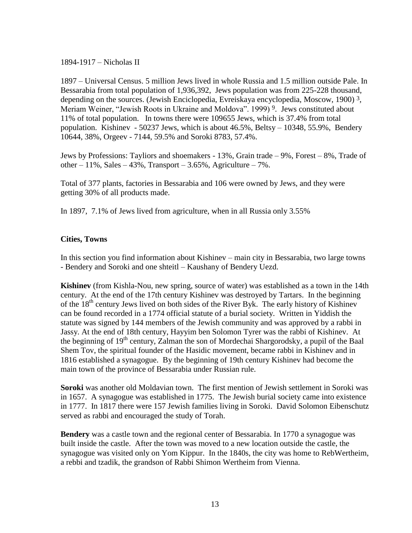1894-1917 – Nicholas II

1897 – Universal Census. 5 million Jews lived in whole Russia and 1.5 million outside Pale. In Bessarabia from total population of 1,936,392, Jews population was from 225-228 thousand, depending on the sources. (Jewish Enciclopedia, Evreiskaya encyclopedia, Moscow, 1900) 3, Meriam Weiner, "Jewish Roots in Ukraine and Moldova". 1999)<sup>9</sup>. Jews constituted about 11% of total population. In towns there were 109655 Jews, which is 37.4% from total population. Kishinev - 50237 Jews, which is about 46.5%, Beltsy – 10348, 55.9%, Bendery 10644, 38%, Orgeev - 7144, 59.5% and Soroki 8783, 57.4%.

Jews by Professions: Tayliors and shoemakers - 13%, Grain trade – 9%, Forest – 8%, Trade of other  $-11\%$ , Sales  $-43\%$ , Transport  $-3.65\%$ , Agriculture  $-7\%$ .

Total of 377 plants, factories in Bessarabia and 106 were owned by Jews, and they were getting 30% of all products made.

In 1897, 7.1% of Jews lived from agriculture, when in all Russia only 3.55%

## **Cities, Towns**

In this section you find information about Kishinev – main city in Bessarabia, two large towns - Bendery and Soroki and one shteitl – Kaushany of Bendery Uezd.

**Kishinev** (from Kishla-Nou, new spring, source of water) was established as a town in the 14th century. At the end of the 17th century Kishinev was destroyed by Tartars. In the beginning of the 18<sup>th</sup> century Jews lived on both sides of the River Byk. The early history of Kishinev can be found recorded in a 1774 official statute of a burial society. Written in Yiddish the statute was signed by 144 members of the Jewish community and was approved by a rabbi in Jassy. At the end of 18th century, Hayyim ben Solomon Tyrer was the rabbi of Kishinev. At the beginning of  $19<sup>th</sup>$  century, Zalman the son of Mordechai Shargorodsky, a pupil of the Baal Shem Tov, the spiritual founder of the Hasidic movement, became rabbi in Kishinev and in 1816 established a synagogue. By the beginning of 19th century Kishinev had become the main town of the province of Bessarabia under Russian rule.

**Soroki** was another old Moldavian town. The first mention of Jewish settlement in Soroki was in 1657. A synagogue was established in 1775. The Jewish burial society came into existence in 1777. In 1817 there were 157 Jewish families living in Soroki. David Solomon Eibenschutz served as rabbi and encouraged the study of Torah.

**Bendery** was a castle town and the regional center of Bessarabia. In 1770 a synagogue was built inside the castle. After the town was moved to a new location outside the castle, the synagogue was visited only on Yom Kippur. In the 1840s, the city was home to RebWertheim, a rebbi and tzadik, the grandson of Rabbi Shimon Wertheim from Vienna.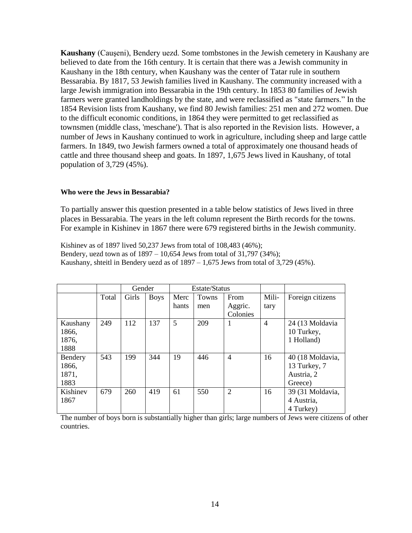**Kaushany** (Cauşeni), Bendery uezd. Some tombstones in the Jewish cemetery in Kaushany are believed to date from the 16th century. It is certain that there was a Jewish community in Kaushany in the 18th century, when Kaushany was the center of Tatar rule in southern Bessarabia. By 1817, 53 Jewish families lived in Kaushany. The community increased with a large Jewish immigration into Bessarabia in the 19th century. In 1853 80 families of Jewish farmers were granted landholdings by the state, and were reclassified as "state farmers." In the 1854 Revision lists from Kaushany, we find 80 Jewish families: 251 men and 272 women. Due to the difficult economic conditions, in 1864 they were permitted to get reclassified as townsmen (middle class, 'meschane'). That is also reported in the Revision lists. However, a number of Jews in Kaushany continued to work in agriculture, including sheep and large cattle farmers. In 1849, two Jewish farmers owned a total of approximately one thousand heads of cattle and three thousand sheep and goats. In 1897, 1,675 Jews lived in Kaushany, of total population of 3,729 (45%).

#### **Who were the Jews in Bessarabia?**

To partially answer this question presented in a table below statistics of Jews lived in three places in Bessarabia. The years in the left column represent the Birth records for the towns. For example in Kishinev in 1867 there were 679 registered births in the Jewish community.

Kishinev as of 1897 lived 50,237 Jews from total of 108,483 (46%); Bendery, uezd town as of 1897 – 10,654 Jews from total of 31,797 (34%); Kaushany, shteitl in Bendery uezd as of 1897 – 1,675 Jews from total of 3,729 (45%).

|          |       | Gender |             | Estate/Status |       |                |                |                  |
|----------|-------|--------|-------------|---------------|-------|----------------|----------------|------------------|
|          | Total | Girls  | <b>Boys</b> | Merc          | Towns | From           | Mili-          | Foreign citizens |
|          |       |        |             | hants         | men   | Aggric.        | tary           |                  |
|          |       |        |             |               |       | Colonies       |                |                  |
| Kaushany | 249   | 112    | 137         | 5             | 209   | 1              | $\overline{4}$ | 24 (13 Moldavia  |
| 1866,    |       |        |             |               |       |                |                | 10 Turkey,       |
| 1876,    |       |        |             |               |       |                |                | 1 Holland)       |
| 1888     |       |        |             |               |       |                |                |                  |
| Bendery  | 543   | 199    | 344         | 19            | 446   | $\overline{4}$ | 16             | 40 (18 Moldavia, |
| 1866,    |       |        |             |               |       |                |                | 13 Turkey, 7     |
| 1871,    |       |        |             |               |       |                |                | Austria, 2       |
| 1883     |       |        |             |               |       |                |                | Greece)          |
| Kishinev | 679   | 260    | 419         | 61            | 550   | $\overline{2}$ | 16             | 39 (31 Moldavia, |
| 1867     |       |        |             |               |       |                |                | 4 Austria,       |
|          |       |        |             |               |       |                |                | 4 Turkey)        |

The number of boys born is substantially higher than girls; large numbers of Jews were citizens of other countries.